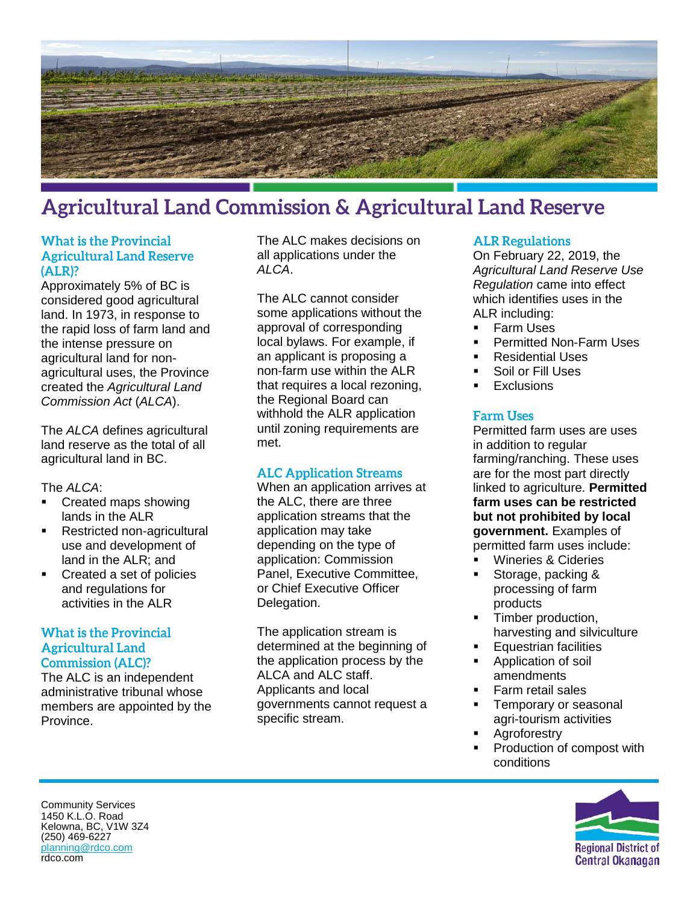

# **Agricultural Land Commission & Agricultural Land Reserve**

### **What is the Provincial Agricultural Land Reserve**  $(ALR)?$

Approximately 5% of BC is considered good agricultural land. In 1973, in response to the rapid loss of farm land and the intense pressure on agricultural land for nonagricultural uses, the Province created the *Agricultural Land Commission Act* (*ALCA*).

The *ALCA* defines agricultural land reserve as the total of all agricultural land in BC.

The *ALCA*:

- Created maps showing lands in the ALR
- **Restricted non-agricultural** use and development of land in the ALR; and
- **Created a set of policies** and regulations for activities in the ALR

#### **What is the Provincial Agricultural Land Commission (ALC)?**

The ALC is an independent administrative tribunal whose members are appointed by the Province.

The ALC makes decisions on all applications under the *ALCA*.

The ALC cannot consider some applications without the approval of corresponding local bylaws. For example, if an applicant is proposing a non-farm use within the ALR that requires a local rezoning, the Regional Board can withhold the ALR application until zoning requirements are met.

### **ALC Application Streams**

When an application arrives at the ALC, there are three application streams that the application may take depending on the type of application: Commission Panel, Executive Committee, or Chief Executive Officer Delegation.

The application stream is determined at the beginning of the application process by the ALCA and ALC staff. Applicants and local governments cannot request a specific stream.

#### **ALR Regulations**

On February 22, 2019, the *Agricultural Land Reserve Use Regulation* came into effect which identifies uses in the ALR including:

- Farm Uses
- **Permitted Non-Farm Uses**
- Residential Uses
- Soil or Fill Uses
- **Exclusions**

#### **Farm Uses**

Permitted farm uses are uses in addition to regular farming/ranching. These uses are for the most part directly linked to agriculture. **Permitted farm uses can be restricted but not prohibited by local government.** Examples of permitted farm uses include:

- Wineries & Cideries
- Storage, packing & processing of farm products
- Timber production, harvesting and silviculture
- Equestrian facilities
- Application of soil amendments
- Farm retail sales
- **Temporary or seasonal** agri-tourism activities
- **Agroforestry**
- Production of compost with conditions



Community Services 1450 K.L.O. Road Kelowna, BC, V1W 3Z4 (250) 469-6227 [planning@rdco.com](mailto:planning@rdco.com) rdco.com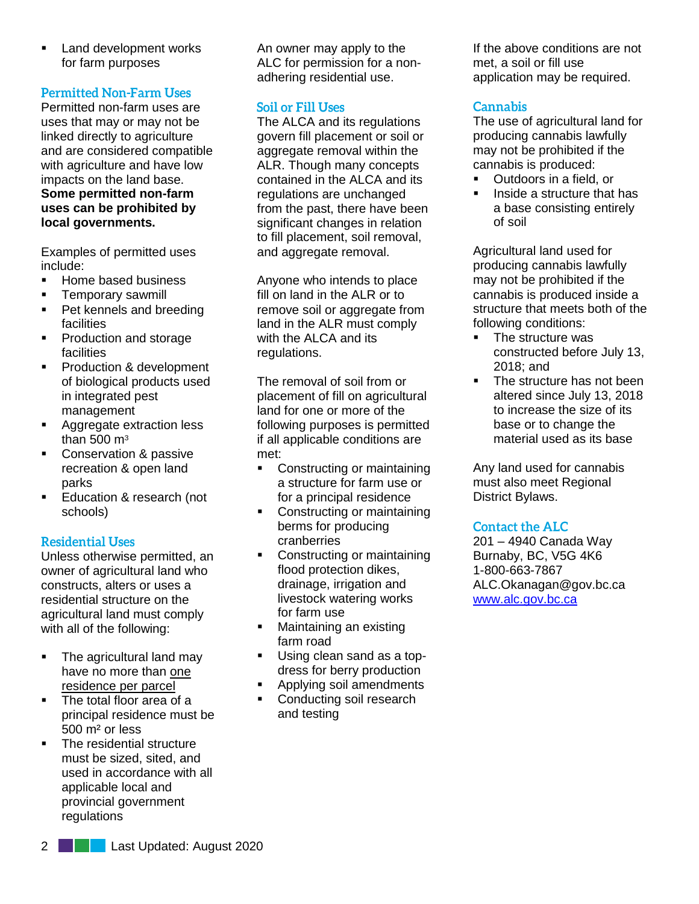Land development works for farm purposes

# **Permitted Non-Farm Uses**

Permitted non-farm uses are uses that may or may not be linked directly to agriculture and are considered compatible with agriculture and have low impacts on the land base.

#### **Some permitted non-farm uses can be prohibited by local governments.**

Examples of permitted uses include:

- Home based business
- **Temporary sawmill**
- Pet kennels and breeding facilities
- Production and storage facilities
- **Production & development** of biological products used in integrated pest management
- **Aggregate extraction less** than  $500 \text{ m}^3$
- **Conservation & passive** recreation & open land parks
- **Education & research (not** schools)

# **Residential Uses**

Unless otherwise permitted, an owner of agricultural land who constructs, alters or uses a residential structure on the agricultural land must comply with all of the following:

- The agricultural land may have no more than one residence per parcel
- The total floor area of a principal residence must be 500 m² or less
- The residential structure must be sized, sited, and used in accordance with all applicable local and provincial government regulations

An owner may apply to the ALC for permission for a nonadhering residential use.

# **Soil or Fill Uses**

The ALCA and its regulations govern fill placement or soil or aggregate removal within the ALR. Though many concepts contained in the ALCA and its regulations are unchanged from the past, there have been significant changes in relation to fill placement, soil removal, and aggregate removal.

Anyone who intends to place fill on land in the ALR or to remove soil or aggregate from land in the ALR must comply with the ALCA and its regulations.

The removal of soil from or placement of fill on agricultural land for one or more of the following purposes is permitted if all applicable conditions are met:

- Constructing or maintaining a structure for farm use or for a principal residence
- Constructing or maintaining berms for producing cranberries
- Constructing or maintaining flood protection dikes, drainage, irrigation and livestock watering works for farm use
- **•** Maintaining an existing farm road
- Using clean sand as a topdress for berry production
- Applying soil amendments
- Conducting soil research and testing

If the above conditions are not met, a soil or fill use application may be required.

# **Cannabis**

The use of agricultural land for producing cannabis lawfully may not be prohibited if the cannabis is produced:

- Outdoors in a field, or
- Inside a structure that has a base consisting entirely of soil

Agricultural land used for producing cannabis lawfully may not be prohibited if the cannabis is produced inside a structure that meets both of the following conditions:

- The structure was constructed before July 13, 2018; and
- The structure has not been altered since July 13, 2018 to increase the size of its base or to change the material used as its base

Any land used for cannabis must also meet Regional District Bylaws.

### **Contact the ALC**

201 – 4940 Canada Way Burnaby, BC, V5G 4K6 1-800-663-7867 ALC.Okanagan@gov.bc.ca [www.alc.gov.bc.ca](http://www.alc.gov.bc.ca/)